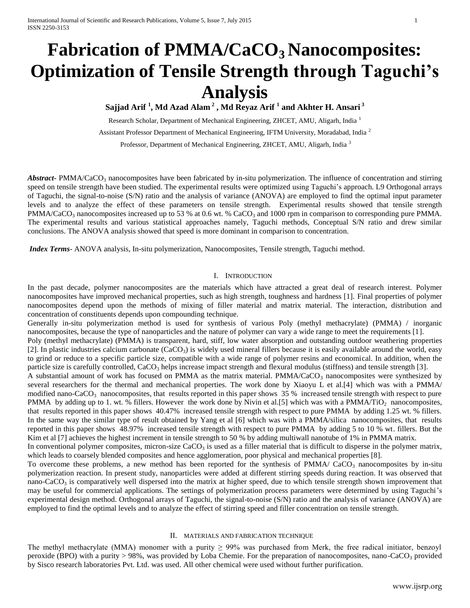# **Fabrication of PMMA/CaCO3 Nanocomposites: Optimization of Tensile Strength through Taguchi's Analysis**

**Sajjad Arif <sup>1</sup> , Md Azad Alam <sup>2</sup> , Md Reyaz Arif <sup>1</sup> and Akhter H. Ansari <sup>3</sup>**

Research Scholar, Department of Mechanical Engineering, ZHCET, AMU, Aligarh, India <sup>1</sup> Assistant Professor Department of Mechanical Engineering, IFTM University, Moradabad, India <sup>2</sup> Professor, Department of Mechanical Engineering, ZHCET, AMU, Aligarh, India<sup>3</sup>

*Abstract*- PMMA/CaCO<sub>3</sub> nanocomposites have been fabricated by in-situ polymerization. The influence of concentration and stirring speed on tensile strength have been studied. The experimental results were optimized using Taguchi's approach. L9 Orthogonal arrays of Taguchi, the signal-to-noise (S/N) ratio and the analysis of variance (ANOVA) are employed to find the optimal input parameter levels and to analyze the effect of these parameters on tensile strength. Experimental results showed that tensile strength  $PMMA/CaCO<sub>3</sub>$  nanocomposites increased up to 53 % at 0.6 wt. % CaCO<sub>3</sub> and 1000 rpm in comparison to corresponding pure PMMA. The experimental results and various statistical approaches namely, Taguchi methods, Conceptual S/N ratio and drew similar conclusions. The ANOVA analysis showed that speed is more dominant in comparison to concentration.

*Index Terms*- ANOVA analysis, In-situ polymerization, Nanocomposites, Tensile strength, Taguchi method.

#### I. INTRODUCTION

In the past decade, polymer nanocomposites are the materials which have attracted a great deal of research interest. Polymer nanocomposites have improved mechanical properties, such as high strength, toughness and hardness [1]. Final properties of polymer nanocomposites depend upon the methods of mixing of filler material and matrix material. The interaction, distribution and concentration of constituents depends upon compounding technique.

Generally in-situ polymerization method is used for synthesis of various Poly (methyl methacrylate) (PMMA) / inorganic nanocomposites, because the type of nanoparticles and the nature of polymer can vary a wide range to meet the requirements [1].

Poly (methyl methacrylate) (PMMA) is transparent, hard, stiff, low water absorption and outstanding outdoor weathering properties [2]. In plastic industries calcium carbonate  $(CaCO<sub>3</sub>)$  is widely used mineral fillers because it is easily available around the world, easy to grind or reduce to a specific particle size, compatible with a wide range of polymer resins and economical. In addition, when the particle size is carefully controlled, CaCO<sub>3</sub> helps increase impact strength and flexural modulus (stiffness) and tensile strength [3].

A substantial amount of work has focused on PMMA as the matrix material. PMMA/CaCO<sub>3</sub> nanocomposites were synthesized by several researchers for the thermal and mechanical properties. The work done by Xiaoyu L et al.[4] which was with a PMMA/ modified nano-CaCO<sub>3</sub> nanocomposites, that results reported in this paper shows  $35\%$  increased tensile strength with respect to pure PMMA by adding up to 1. wt. % fillers. However the work done by Nivin et al.[5] which was with a PMMA/TiO<sub>2</sub> nanocomposites, that results reported in this paper shows 40.47% increased tensile strength with respect to pure PMMA by adding 1.25 wt. % fillers. In the same way the similar type of result obtained by Yang et al [6] which was with a PMMA/silica nanocomposites, that results reported in this paper shows 48.97% increased tensile strength with respect to pure PMMA by adding 5 to 10 % wt. fillers. But the Kim et al [7] achieves the highest increment in tensile strength to 50 % by adding multiwall nanotube of 1% in PMMA matrix.

In conventional polymer composites, micron-size  $CaCO<sub>3</sub>$  is used as a filler material that is difficult to disperse in the polymer matrix, which leads to coarsely blended composites and hence agglomeration, poor physical and mechanical properties [8].

To overcome these problems, a new method has been reported for the synthesis of PMMA/  $CaCO<sub>3</sub>$  nanocomposites by in-situ polymerization reaction. In present study, nanoparticles were added at different stirring speeds during reaction. It was observed that nano-CaCO<sub>3</sub> is comparatively well dispersed into the matrix at higher speed, due to which tensile strength shown improvement that may be useful for commercial applications. The settings of polymerization process parameters were determined by using Taguchi's experimental design method. Orthogonal arrays of Taguchi, the signal-to-noise (S/N) ratio and the analysis of variance (ANOVA) are employed to find the optimal levels and to analyze the effect of stirring speed and filler concentration on tensile strength.

#### II. MATERIALS AND FABRICATION TECHNIQUE

The methyl methacrylate (MMA) monomer with a purity  $\geq$  99% was purchased from Merk, the free radical initiator, benzoyl peroxide (BPO) with a purity  $> 98\%$ , was provided by Loba Chemie. For the preparation of nanocomposites, nano-CaCO<sub>3</sub> provided by Sisco research laboratories Pvt. Ltd. was used. All other chemical were used without further purification.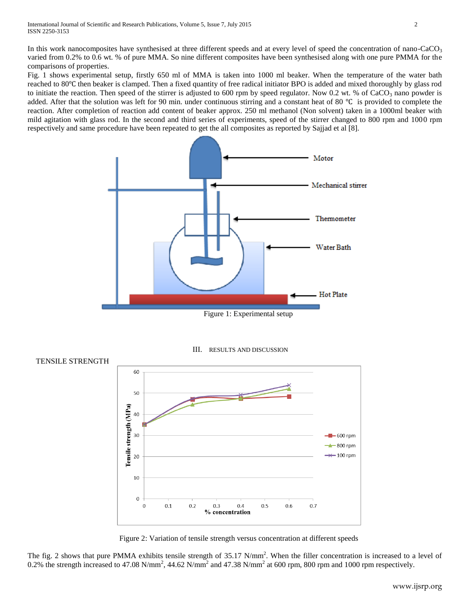In this work nanocomposites have synthesised at three different speeds and at every level of speed the concentration of nano-CaCO<sub>3</sub> varied from 0.2% to 0.6 wt. % of pure MMA. So nine different composites have been synthesised along with one pure PMMA for the comparisons of properties.

Fig. 1 shows experimental setup, firstly 650 ml of MMA is taken into 1000 ml beaker. When the temperature of the water bath reached to 80℃ then beaker is clamped. Then a fixed quantity of free radical initiator BPO is added and mixed thoroughly by glass rod to initiate the reaction. Then speed of the stirrer is adjusted to 600 rpm by speed regulator. Now 0.2 wt. % of CaCO<sub>3</sub> nano powder is added. After that the solution was left for 90 min. under continuous stirring and a constant heat of 80 ℃ is provided to complete the reaction. After completion of reaction add content of beaker approx. 250 ml methanol (Non solvent) taken in a 1000ml beaker with mild agitation with glass rod. In the second and third series of experiments, speed of the stirrer changed to 800 rpm and 1000 rpm respectively and same procedure have been repeated to get the all composites as reported by Sajjad et al [8].



Figure 1: Experimental setup





Figure 2: Variation of tensile strength versus concentration at different speeds

The fig. 2 shows that pure PMMA exhibits tensile strength of  $35.17$  N/mm<sup>2</sup>. When the filler concentration is increased to a level of 0.2% the strength increased to 47.08 N/mm<sup>2</sup>, 44.62 N/mm<sup>2</sup> and 47.38 N/mm<sup>2</sup> at 600 rpm, 800 rpm and 1000 rpm respectively.

# TENSILE STRENGTH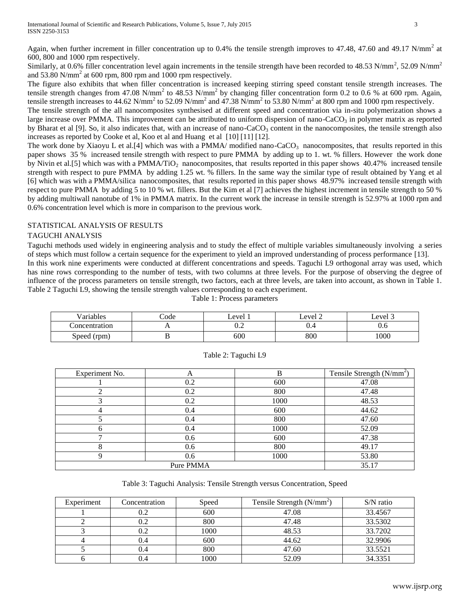Again, when further increment in filler concentration up to 0.4% the tensile strength improves to 47.48, 47.60 and 49.17 N/mm<sup>2</sup> at 600, 800 and 1000 rpm respectively.

Similarly, at 0.6% filler concentration level again increments in the tensile strength have been recorded to 48.53 N/mm<sup>2</sup>, 52.09 N/mm<sup>2</sup> and 53.80 N/mm<sup>2</sup> at 600 rpm, 800 rpm and 1000 rpm respectively.

The figure also exhibits that when filler concentration is increased keeping stirring speed constant tensile strength increases. The tensile strength changes from 47.08 N/mm<sup>2</sup> to 48.53 N/mm<sup>2</sup> by changing filler concentration form 0.2 to 0.6 % at 600 rpm. Again, tensile strength increases to 44.62 N/mm<sup>2</sup> to 52.09 N/mm<sup>2</sup> and 47.38 N/mm<sup>2</sup> to 53.80 N/mm<sup>2</sup> at 800 rpm and 1000 rpm respectively.

The tensile strength of the all nanocomposites synthesised at different speed and concentration via in-situ polymerization shows a large increase over PMMA. This improvement can be attributed to uniform dispersion of nano-CaCO<sub>3</sub> in polymer matrix as reported by Bharat et al [9]. So, it also indicates that, with an increase of nano-CaCO<sub>3</sub> content in the nanocomposites, the tensile strength also increases as reported by Cooke et al, Koo et al and Huang et al [10] [11] [12].

The work done by Xiaoyu L et al.<sup>[4]</sup> which was with a PMMA/ modified nano-CaCO<sub>3</sub> nanocomposites, that results reported in this paper shows 35 % increased tensile strength with respect to pure PMMA by adding up to 1. wt. % fillers. However the work done by Nivin et al.[5] which was with a PMMA/TiO<sub>2</sub> nanocomposites, that results reported in this paper shows  $40.47\%$  increased tensile strength with respect to pure PMMA by adding 1.25 wt. % fillers. In the same way the similar type of result obtained by Yang et al [6] which was with a PMMA/silica nanocomposites, that results reported in this paper shows 48.97% increased tensile strength with respect to pure PMMA by adding 5 to 10 % wt. fillers. But the Kim et al [7] achieves the highest increment in tensile strength to 50 % by adding multiwall nanotube of 1% in PMMA matrix. In the current work the increase in tensile strength is 52.97% at 1000 rpm and 0.6% concentration level which is more in comparison to the previous work.

## STATISTICAL ANALYSIS OF RESULTS

### TAGUCHI ANALYSIS

Taguchi methods used widely in engineering analysis and to study the effect of multiple variables simultaneously involving a series of steps which must follow a certain sequence for the experiment to yield an improved understanding of process performance [13]. In this work nine experiments were conducted at different concentrations and speeds. Taguchi L9 orthogonal array was used, which has nine rows corresponding to the number of tests, with two columns at three levels. For the purpose of observing the degree of influence of the process parameters on tensile strength, two factors, each at three levels, are taken into account, as shown in Table 1. Table 2 Taguchi L9, showing the tensile strength values corresponding to each experiment.

| . .<br>Variables | ∠ode                 | evel | $\overline{\phantom{a}}$<br>Level<br>- | Level 3 |
|------------------|----------------------|------|----------------------------------------|---------|
| oncentration     | $\ddot{\phantom{0}}$ | ∪.∠  | ∪.¬                                    | v.o     |
| Speed<br>(rpm)   |                      | 600  | 800                                    | 1000    |

Table 1: Process parameters

| Experiment No. | A   | B    | Tensile Strength $(N/mm2)$ |
|----------------|-----|------|----------------------------|
|                | 0.2 | 600  | 47.08                      |
|                | 0.2 | 800  | 47.48                      |
|                | 0.2 | 1000 | 48.53                      |
|                | 0.4 | 600  | 44.62                      |
|                | 0.4 | 800  | 47.60                      |
| h              | 0.4 | 1000 | 52.09                      |
|                | 0.6 | 600  | 47.38                      |
|                | 0.6 | 800  | 49.17                      |
|                | 0.6 | 1000 | 53.80                      |
| Pure PMMA      |     |      | 35.17                      |

## Table 2: Taguchi L9

Table 3: Taguchi Analysis: Tensile Strength versus Concentration, Speed

| Experiment | Concentration | Speed | Tensile Strength $(N/mm2)$ | $S/N$ ratio |
|------------|---------------|-------|----------------------------|-------------|
|            | 0.2           | 600   | 47.08                      | 33.4567     |
|            | 0.2           | 800   | 47.48                      | 33.5302     |
|            | 0.2           | 1000  | 48.53                      | 33.7202     |
|            | 0.4           | 600   | 44.62                      | 32.9906     |
|            | 0.4           | 800   | 47.60                      | 33.5521     |
|            | 0.4           | 1000  | 52.09                      | 34.3351     |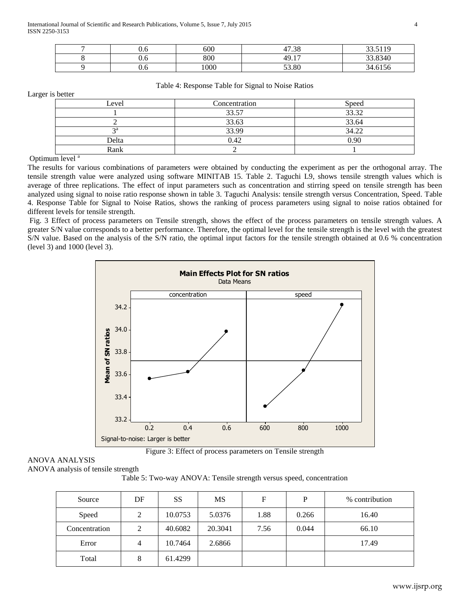| v.v | 600  | 17.20<br>. 20         | 33 5110<br><u>.</u> |
|-----|------|-----------------------|---------------------|
| v.v | 800  | 1 <sub>7</sub><br>49. | 33.8340             |
| U.O | 1000 | 53.80                 | 34.6156             |

Larger is better

#### Table 4: Response Table for Signal to Noise Ratios

| Level           | Concentration | Speed |
|-----------------|---------------|-------|
|                 | 33.57         | 33.32 |
|                 | 33.63         | 33.64 |
| $\mathcal{P}$ a | 33.99         | 34.22 |
| Delta           | 0.42          | 0.90  |
| Rank            |               |       |

#### Optimum level<sup>a</sup>

The results for various combinations of parameters were obtained by conducting the experiment as per the orthogonal array. The tensile strength value were analyzed using software MINITAB 15. Table 2. Taguchi L9, shows tensile strength values which is average of three replications. The effect of input parameters such as concentration and stirring speed on tensile strength has been analyzed using signal to noise ratio response shown in table 3. Taguchi Analysis: tensile strength versus Concentration, Speed. Table 4. Response Table for Signal to Noise Ratios, shows the ranking of process parameters using signal to noise ratios obtained for different levels for tensile strength.

Fig. 3 Effect of process parameters on Tensile strength, shows the effect of the process parameters on tensile strength values. A greater S/N value corresponds to a better performance. Therefore, the optimal level for the tensile strength is the level with the greatest S/N value. Based on the analysis of the S/N ratio, the optimal input factors for the tensile strength obtained at 0.6 % concentration (level 3) and 1000 (level 3).



Figure 3: Effect of process parameters on Tensile strength

# ANOVA ANALYSIS

ANOVA analysis of tensile strength

Table 5: Two-way ANOVA: Tensile strength versus speed, concentration

| Source        | DF | <b>SS</b> | <b>MS</b> | F    | P     | % contribution |
|---------------|----|-----------|-----------|------|-------|----------------|
| Speed         | 2  | 10.0753   | 5.0376    | 1.88 | 0.266 | 16.40          |
| Concentration | 2  | 40.6082   | 20.3041   | 7.56 | 0.044 | 66.10          |
| Error         | 4  | 10.7464   | 2.6866    |      |       | 17.49          |
| Total         | 8  | 61.4299   |           |      |       |                |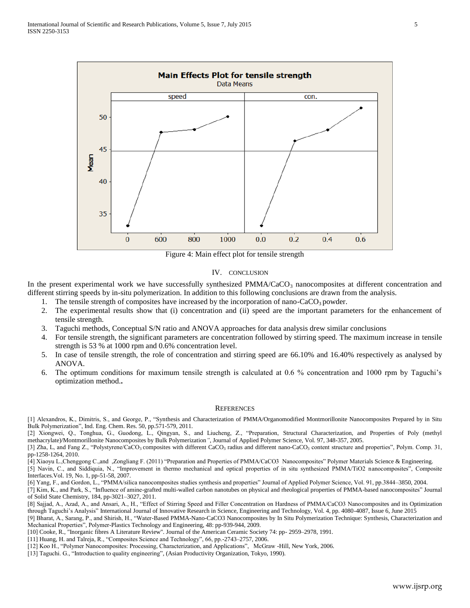

Figure 4: Main effect plot for tensile strength

#### IV. CONCLUSION

In the present experimental work we have successfully synthesized  $PMMA/CaCO<sub>3</sub>$  nanocomposites at different concentration and different stirring speeds by in-situ polymerization. In addition to this following conclusions are drawn from the analysis.

- 1. The tensile strength of composites have increased by the incorporation of nano-CaCO<sub>3</sub> powder.
- 2. The experimental results show that (i) concentration and (ii) speed are the important parameters for the enhancement of tensile strength.
- 3. Taguchi methods, Conceptual S/N ratio and ANOVA approaches for data analysis drew similar conclusions
- 4. For tensile strength, the significant parameters are concentration followed by stirring speed. The maximum increase in tensile strength is 53 % at 1000 rpm and 0.6% concentration level.
- 5. In case of tensile strength, the role of concentration and stirring speed are 66.10% and 16.40% respectively as analysed by ANOVA.
- 6. The optimum conditions for maximum tensile strength is calculated at 0.6 % concentration and 1000 rpm by Taguchi's optimization method.**.**

#### **REFERENCES**

[1] Alexandros, K., Dimitris, S., and George, P., "Synthesis and Characterization of PMMA/Organomodified Montmorillonite Nanocomposites Prepared by in Situ Bulk Polymerization", Ind. Eng. Chem. Res. 50, pp.571-579, 2011.

[2] Xiongwei, Q., Tonghua, G., Guodong, L., Qingyan, S., and Liucheng, Z., "Preparation, Structural Characterization, and Properties of Poly (methyl methacrylate)/Montmorillonite Nanocomposites by Bulk Polymerization*"*, Journal of Applied Polymer Science, Vol. 97, 348-357, 2005.

[3] Zha, L, and Fang Z., "Polystyrene/CaCO<sub>3</sub> composites with different CaCO<sub>3</sub> radius and different nano-CaCO<sub>3</sub> content structure and properties", Polym. Comp. 31, pp-1258-1264, 2010.

[4] Xiaoyu L.,Chenggong C.,and ,Zongliang F. (2011) "Preparation and Properties of PMMA/CaCO3 Nanocomposites" Polymer Materials Science & Engineering.

[5] Navin, C., and Siddiquia, N., "Improvement in thermo mechanical and optical properties of in situ synthesized PMMA/TiO2 nanocomposites", Composite Interfaces.Vol. 19, No. 1, pp-51-58, 2007.

[6] Yang, F., and Gordon, L., "PMMA/silica nanocomposites studies synthesis and properties" Journal of Applied Polymer Science, Vol. 91, pp.3844–3850, 2004.

[7] Kim, K., and Park, S., "Influence of amine-grafted multi-walled carbon nanotubes on physical and rheological properties of PMMA-based nanocomposites" Journal of Solid State Chemistry, 184, pp-3021–3027, 2011.

[8] Sajjad, A., Azad, A., and Ansari, A., H., "Effect of Stirring Speed and Filler Concentration on Hardness of PMMA/CaCO3 Nanocomposites and its Optimization through Taguchi's Analysis" International Journal of Innovative Research in Science, Engineering and Technology, Vol. 4, pp. 4080-4087, Issue 6, June 2015

[9] Bharat, A., Sarang, P., and Shirish, H., "Water-Based PMMA-Nano-CaCO3 Nanocomposites by In Situ Polymerization Technique: Synthesis, Characterization and Mechanical Properties", Polymer-Plastics Technology and Engineering, 48: pp-939-944, 2009.

[10] Cooke, R., "Inorganic fibres A Literature Review". Journal of the American Ceramic Society 74: pp- 2959–2978, 1991.

[11] Huang, H. and Talreja, R., "Composites Science and Technology", 66, pp.-2743–2757, 2006.

[12] Koo H., "Polymer Nanocomposites: Processing, Characterization, and Applications", McGraw -Hill, New York, 2006.

[13] Taguchi. G., "Introduction to quality engineering"*,* (Asian Productivity Organization, Tokyo, 1990).